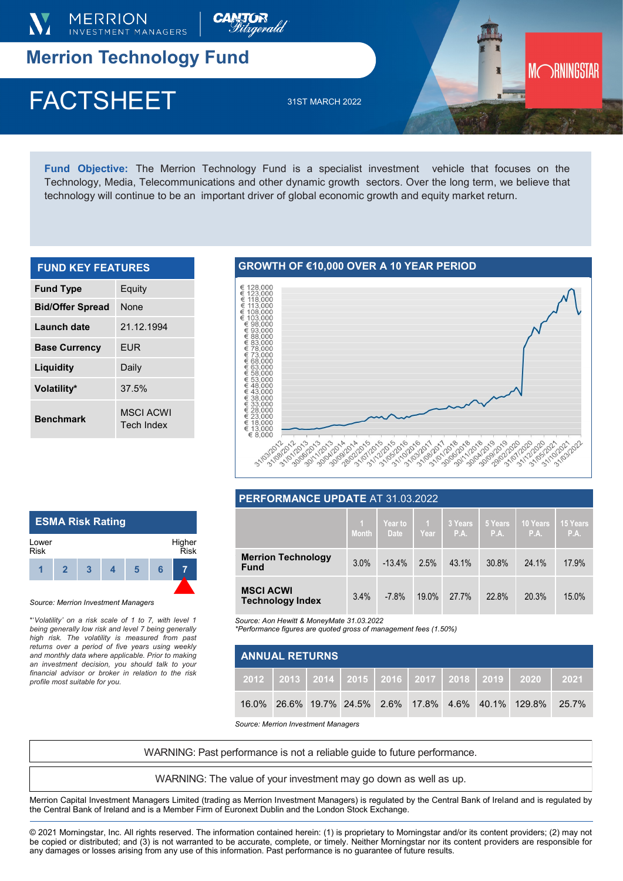

# **Merrion Technology Fund**

# $\Gamma$ AUIONEEI  $\frac{3181 \text{ MARCH } 2022}$ FACTSHEET 31ST MARCH 2022

**Fund Objective:** The Merrion Technology Fund is a specialist investment vehicle that focuses on the Technology, Media, Telecommunications and other dynamic growth sectors. Over the long term, we believe that technology will continue to be an important driver of global economic growth and equity market return.

| <b>FUND KEY FEATURES</b> |                                |  |  |  |  |
|--------------------------|--------------------------------|--|--|--|--|
| <b>Fund Type</b>         | Equity                         |  |  |  |  |
| <b>Bid/Offer Spread</b>  | <b>None</b>                    |  |  |  |  |
| Launch date              | 21.12.1994                     |  |  |  |  |
| <b>Base Currency</b>     | <b>EUR</b>                     |  |  |  |  |
| Liquidity                | Daily                          |  |  |  |  |
| Volatility*              | 37.5%                          |  |  |  |  |
| <b>Benchmark</b>         | <b>MSCI ACWI</b><br>Tech Index |  |  |  |  |

# **GROWTH OF €10,000 OVER A 10 YEAR PERIOD**



MORNINGSTAR

### **PERFORMANCE UPDATE** AT 31.03.2022

|                                             | L 1<br><b>Month</b> | Year to<br><b>Date</b> | $\mathbf{1}$<br>Year | 3 Years<br>P.A. | 5 Years<br>P.A. | 10 Years<br>P.A. | <b>15 Years</b><br>P.A. |
|---------------------------------------------|---------------------|------------------------|----------------------|-----------------|-----------------|------------------|-------------------------|
| <b>Merrion Technology</b><br><b>Fund</b>    | 3.0%                | $-13.4%$               | 2.5%                 | 43.1%           | 30.8%           | 24.1%            | 17.9%                   |
| <b>MSCI ACWI</b><br><b>Technology Index</b> | 3.4%                | $-7.8%$                | 19.0%                | 27.7%           | 22.8%           | 20.3%            | 15.0%                   |

*Source: Aon Hewitt & MoneyMate 31.03.2022*

*\*Performance figures are quoted gross of management fees (1.50%)* 

| <b>ANNUAL RETURNS</b> |  |  |  |  |  |  |  |                                                                     |  |
|-----------------------|--|--|--|--|--|--|--|---------------------------------------------------------------------|--|
|                       |  |  |  |  |  |  |  | 2012   2013   2014   2015   2016   2017   2018   2019   2020   2021 |  |
|                       |  |  |  |  |  |  |  | 16.0% 26.6% 19.7% 24.5% 2.6% 17.8% 4.6% 40.1% 129.8% 25.7%          |  |

*Source: Merrion Investment Managers*

WARNING: Past performance is not a reliable guide to future performance.

WARNING: The value of your investment may go down as well as up.

Merrion Capital Investment Managers Limited (trading as Merrion Investment Managers) is regulated by the Central Bank of Ireland and is regulated by the Central Bank of Ireland and is a Member Firm of Euronext Dublin and the London Stock Exchange.

© 2021 Morningstar, Inc. All rights reserved. The information contained herein: (1) is proprietary to Morningstar and/or its content providers; (2) may not be copied or distributed; and (3) is not warranted to be accurate, complete, or timely. Neither Morningstar nor its content providers are responsible for any damages or losses arising from any use of this information. Past performance is no guarantee of future results.

### **ESMA Risk Rating 1 2 3 4 5 6 7** Lower Risk Higher Risk

#### *Source: Merrion Investment Managers*

\*'*Volatility' on a risk scale of 1 to 7, with level 1 being generally low risk and level 7 being generally high risk. The volatility is measured from past returns over a period of five years using weekly and monthly data where applicable. Prior to making an investment decision, you should talk to your financial advisor or broker in relation to the risk profile most suitable for you.*